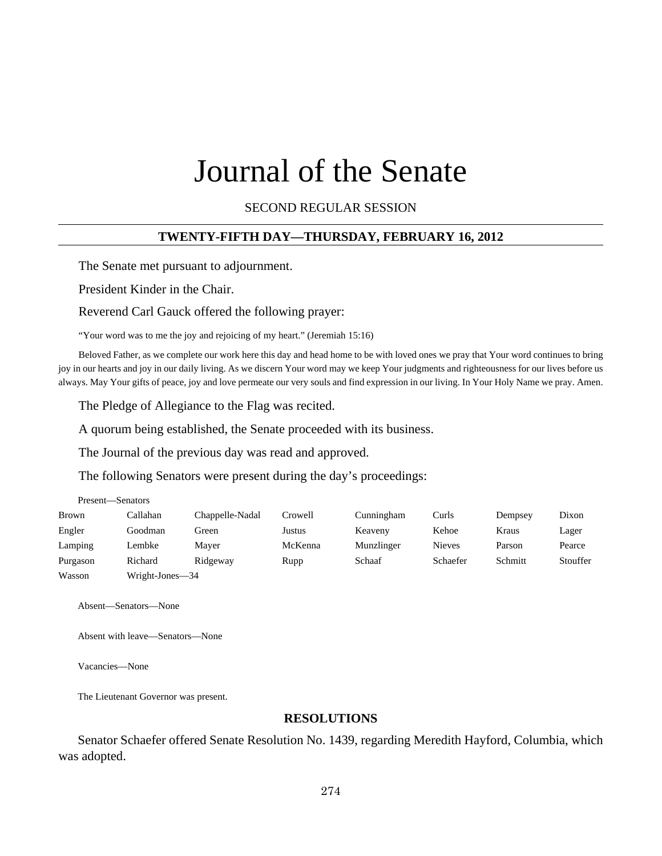# Journal of the Senate

SECOND REGULAR SESSION

#### **TWENTY-FIFTH DAY—THURSDAY, FEBRUARY 16, 2012**

The Senate met pursuant to adjournment.

President Kinder in the Chair.

Reverend Carl Gauck offered the following prayer:

"Your word was to me the joy and rejoicing of my heart." (Jeremiah 15:16)

Beloved Father, as we complete our work here this day and head home to be with loved ones we pray that Your word continues to bring joy in our hearts and joy in our daily living. As we discern Your word may we keep Your judgments and righteousness for our lives before us always. May Your gifts of peace, joy and love permeate our very souls and find expression in our living. In Your Holy Name we pray. Amen.

The Pledge of Allegiance to the Flag was recited.

A quorum being established, the Senate proceeded with its business.

The Journal of the previous day was read and approved.

The following Senators were present during the day's proceedings:

| Present—Senators |                 |                 |         |            |               |         |          |
|------------------|-----------------|-----------------|---------|------------|---------------|---------|----------|
| <b>Brown</b>     | Callahan        | Chappelle-Nadal | Crowell | Cunningham | Curls         | Dempsey | Dixon    |
| Engler           | Goodman         | Green           | Justus  | Keaveny    | Kehoe         | Kraus   | Lager    |
| Lamping          | Lembke          | Maver           | McKenna | Munzlinger | <b>Nieves</b> | Parson  | Pearce   |
| Purgason         | Richard         | Ridgeway        | Rupp    | Schaaf     | Schaefer      | Schmitt | Stouffer |
| Wasson           | Wright-Jones-34 |                 |         |            |               |         |          |

Absent—Senators—None

Absent with leave—Senators—None

Vacancies—None

The Lieutenant Governor was present.

#### **RESOLUTIONS**

Senator Schaefer offered Senate Resolution No. 1439, regarding Meredith Hayford, Columbia, which was adopted.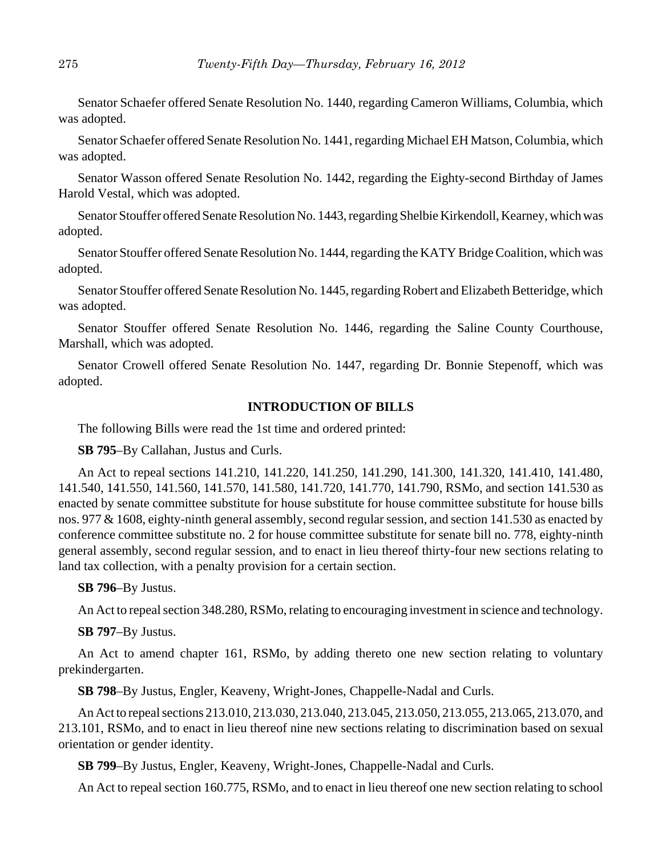Senator Schaefer offered Senate Resolution No. 1440, regarding Cameron Williams, Columbia, which was adopted.

Senator Schaefer offered Senate Resolution No. 1441, regarding Michael EH Matson, Columbia, which was adopted.

Senator Wasson offered Senate Resolution No. 1442, regarding the Eighty-second Birthday of James Harold Vestal, which was adopted.

Senator Stouffer offered Senate Resolution No. 1443, regarding Shelbie Kirkendoll, Kearney, which was adopted.

Senator Stouffer offered Senate Resolution No. 1444, regarding the KATY Bridge Coalition, which was adopted.

Senator Stouffer offered Senate Resolution No. 1445, regarding Robert and Elizabeth Betteridge, which was adopted.

Senator Stouffer offered Senate Resolution No. 1446, regarding the Saline County Courthouse, Marshall, which was adopted.

Senator Crowell offered Senate Resolution No. 1447, regarding Dr. Bonnie Stepenoff, which was adopted.

## **INTRODUCTION OF BILLS**

The following Bills were read the 1st time and ordered printed:

**SB 795**–By Callahan, Justus and Curls.

An Act to repeal sections 141.210, 141.220, 141.250, 141.290, 141.300, 141.320, 141.410, 141.480, 141.540, 141.550, 141.560, 141.570, 141.580, 141.720, 141.770, 141.790, RSMo, and section 141.530 as enacted by senate committee substitute for house substitute for house committee substitute for house bills nos. 977 & 1608, eighty-ninth general assembly, second regular session, and section 141.530 as enacted by conference committee substitute no. 2 for house committee substitute for senate bill no. 778, eighty-ninth general assembly, second regular session, and to enact in lieu thereof thirty-four new sections relating to land tax collection, with a penalty provision for a certain section.

#### **SB 796**–By Justus.

An Act to repeal section 348.280, RSMo, relating to encouraging investment in science and technology.

#### **SB 797**–By Justus.

An Act to amend chapter 161, RSMo, by adding thereto one new section relating to voluntary prekindergarten.

**SB 798**–By Justus, Engler, Keaveny, Wright-Jones, Chappelle-Nadal and Curls.

An Act to repeal sections 213.010, 213.030, 213.040, 213.045, 213.050, 213.055, 213.065, 213.070, and 213.101, RSMo, and to enact in lieu thereof nine new sections relating to discrimination based on sexual orientation or gender identity.

**SB 799**–By Justus, Engler, Keaveny, Wright-Jones, Chappelle-Nadal and Curls.

An Act to repeal section 160.775, RSMo, and to enact in lieu thereof one new section relating to school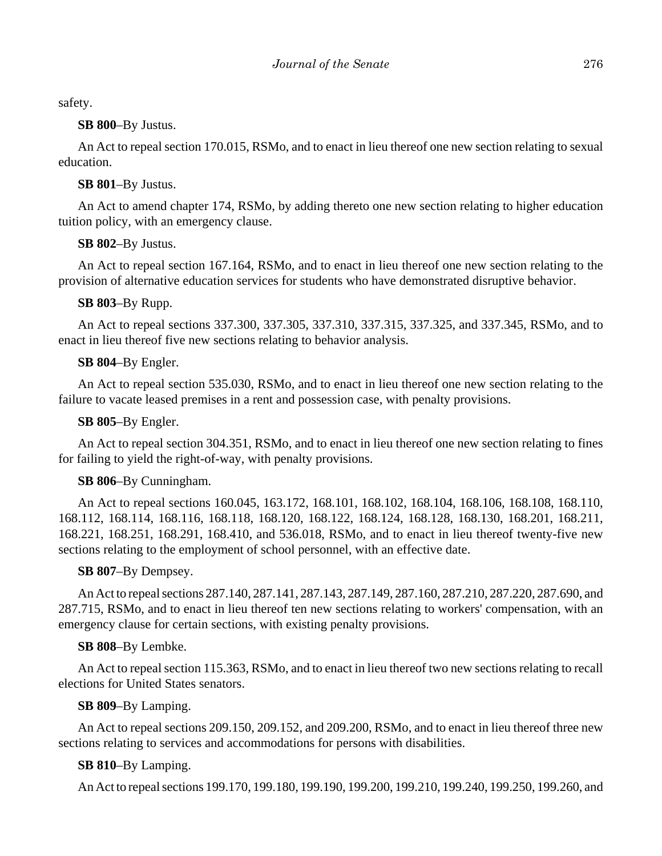safety.

#### **SB 800**–By Justus.

An Act to repeal section 170.015, RSMo, and to enact in lieu thereof one new section relating to sexual education.

## **SB 801**–By Justus.

An Act to amend chapter 174, RSMo, by adding thereto one new section relating to higher education tuition policy, with an emergency clause.

## **SB 802**–By Justus.

An Act to repeal section 167.164, RSMo, and to enact in lieu thereof one new section relating to the provision of alternative education services for students who have demonstrated disruptive behavior.

## **SB 803**–By Rupp.

An Act to repeal sections 337.300, 337.305, 337.310, 337.315, 337.325, and 337.345, RSMo, and to enact in lieu thereof five new sections relating to behavior analysis.

## **SB 804**–By Engler.

An Act to repeal section 535.030, RSMo, and to enact in lieu thereof one new section relating to the failure to vacate leased premises in a rent and possession case, with penalty provisions.

## **SB 805**–By Engler.

An Act to repeal section 304.351, RSMo, and to enact in lieu thereof one new section relating to fines for failing to yield the right-of-way, with penalty provisions.

## **SB 806**–By Cunningham.

An Act to repeal sections 160.045, 163.172, 168.101, 168.102, 168.104, 168.106, 168.108, 168.110, 168.112, 168.114, 168.116, 168.118, 168.120, 168.122, 168.124, 168.128, 168.130, 168.201, 168.211, 168.221, 168.251, 168.291, 168.410, and 536.018, RSMo, and to enact in lieu thereof twenty-five new sections relating to the employment of school personnel, with an effective date.

## **SB 807**–By Dempsey.

An Act to repeal sections 287.140, 287.141, 287.143, 287.149, 287.160, 287.210, 287.220, 287.690, and 287.715, RSMo, and to enact in lieu thereof ten new sections relating to workers' compensation, with an emergency clause for certain sections, with existing penalty provisions.

## **SB 808**–By Lembke.

An Act to repeal section 115.363, RSMo, and to enact in lieu thereof two new sections relating to recall elections for United States senators.

## **SB 809**–By Lamping.

An Act to repeal sections 209.150, 209.152, and 209.200, RSMo, and to enact in lieu thereof three new sections relating to services and accommodations for persons with disabilities.

## **SB 810**–By Lamping.

An Act to repeal sections 199.170, 199.180, 199.190, 199.200, 199.210, 199.240, 199.250, 199.260, and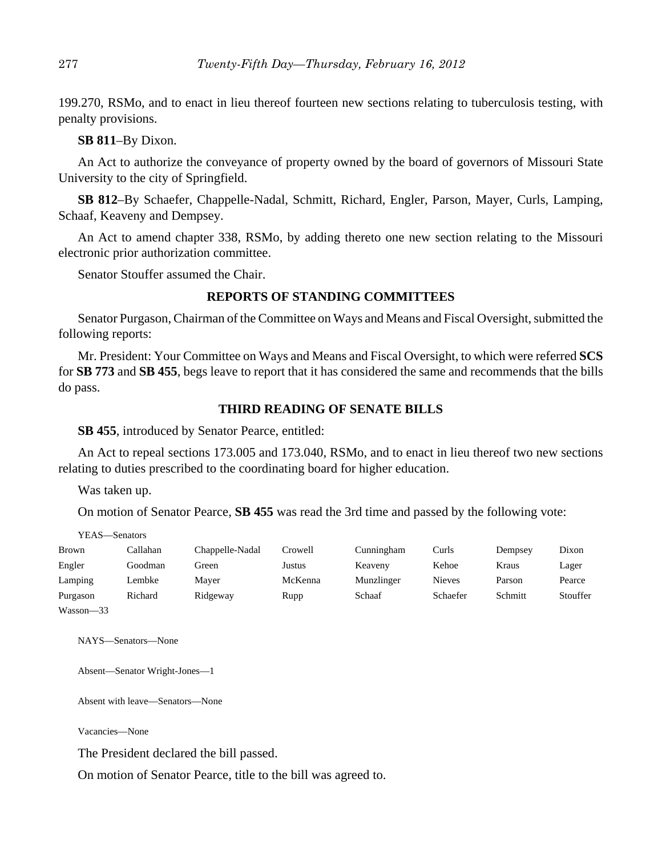199.270, RSMo, and to enact in lieu thereof fourteen new sections relating to tuberculosis testing, with penalty provisions.

#### **SB 811**–By Dixon.

An Act to authorize the conveyance of property owned by the board of governors of Missouri State University to the city of Springfield.

**SB 812**–By Schaefer, Chappelle-Nadal, Schmitt, Richard, Engler, Parson, Mayer, Curls, Lamping, Schaaf, Keaveny and Dempsey.

An Act to amend chapter 338, RSMo, by adding thereto one new section relating to the Missouri electronic prior authorization committee.

Senator Stouffer assumed the Chair.

#### **REPORTS OF STANDING COMMITTEES**

Senator Purgason, Chairman of the Committee on Ways and Means and Fiscal Oversight, submitted the following reports:

Mr. President: Your Committee on Ways and Means and Fiscal Oversight, to which were referred **SCS** for **SB 773** and **SB 455**, begs leave to report that it has considered the same and recommends that the bills do pass.

#### **THIRD READING OF SENATE BILLS**

**SB 455**, introduced by Senator Pearce, entitled:

An Act to repeal sections 173.005 and 173.040, RSMo, and to enact in lieu thereof two new sections relating to duties prescribed to the coordinating board for higher education.

Was taken up.

YEAS—Senators

On motion of Senator Pearce, **SB 455** was read the 3rd time and passed by the following vote:

| <b>Brown</b> | Callahan | Chappelle-Nadal | Crowell | Cunningham | Curls         | Dempsey | Dixon    |
|--------------|----------|-----------------|---------|------------|---------------|---------|----------|
| Engler       | Goodman  | Green           | Justus  | Keaveny    | Kehoe         | Kraus   | Lager    |
| Lamping      | Lembke   | Mayer           | McKenna | Munzlinger | <b>Nieves</b> | Parson  | Pearce   |
| Purgason     | Richard  | Ridgeway        | Rupp    | Schaaf     | Schaefer      | Schmitt | Stouffer |
| Wasson-33    |          |                 |         |            |               |         |          |

NAYS—Senators—None

Absent—Senator Wright-Jones—1

Absent with leave—Senators—None

Vacancies—None

The President declared the bill passed.

On motion of Senator Pearce, title to the bill was agreed to.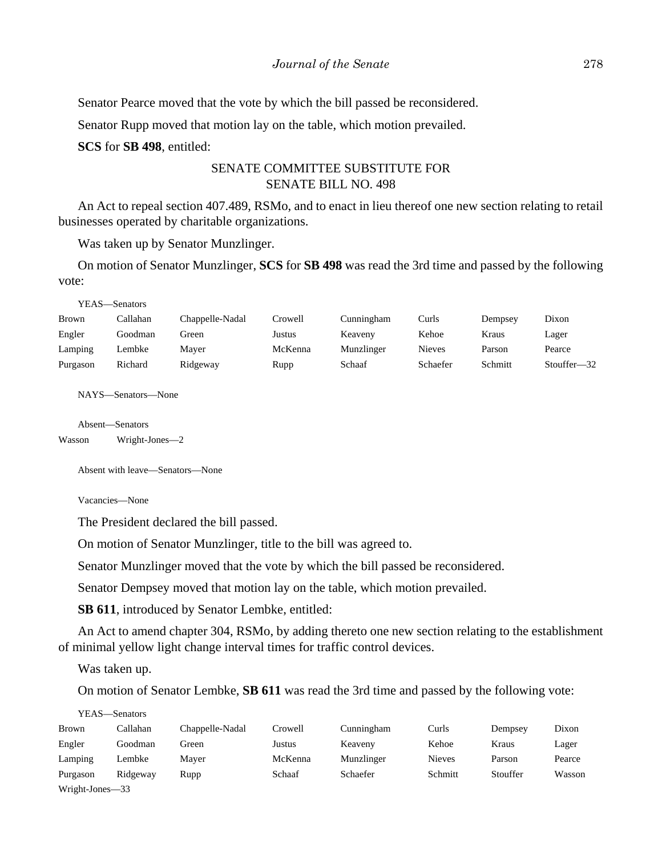Senator Pearce moved that the vote by which the bill passed be reconsidered.

Senator Rupp moved that motion lay on the table, which motion prevailed.

**SCS** for **SB 498**, entitled:

## SENATE COMMITTEE SUBSTITUTE FOR SENATE BILL NO. 498

An Act to repeal section 407.489, RSMo, and to enact in lieu thereof one new section relating to retail businesses operated by charitable organizations.

Was taken up by Senator Munzlinger.

On motion of Senator Munzlinger, **SCS** for **SB 498** was read the 3rd time and passed by the following vote:

```
YEAS—Senators
```

| Brown    | Callahan | Chappelle-Nadal | Crowell | Cunningham | Curls    | Dempsey | Dixon          |
|----------|----------|-----------------|---------|------------|----------|---------|----------------|
| Engler   | Goodman  | Green           | Justus  | Keaveny    | Kehoe    | Kraus   | Lager          |
| Lamping  | Lembke   | Maver           | McKenna | Munzlinger | Nieves   | Parson  | Pearce         |
| Purgason | Richard  | Ridgeway        | Rupp    | Schaaf     | Schaefer | Schmitt | Stouffer $-32$ |

NAYS—Senators—None

```
Absent—Senators
```
Wasson Wright-Jones—2

Absent with leave—Senators—None

Vacancies—None

The President declared the bill passed.

On motion of Senator Munzlinger, title to the bill was agreed to.

Senator Munzlinger moved that the vote by which the bill passed be reconsidered.

Senator Dempsey moved that motion lay on the table, which motion prevailed.

**SB 611**, introduced by Senator Lembke, entitled:

An Act to amend chapter 304, RSMo, by adding thereto one new section relating to the establishment of minimal yellow light change interval times for traffic control devices.

Was taken up.

On motion of Senator Lembke, **SB 611** was read the 3rd time and passed by the following vote:

YEAS—Senators

| Brown                                      | Callahan | Chappelle-Nadal | Crowell | Cunningham | Curls         | Dempsey  | Dixon  |
|--------------------------------------------|----------|-----------------|---------|------------|---------------|----------|--------|
| Engler                                     | Goodman  | Green           | Justus  | Keaveny    | Kehoe         | Kraus    | Lager  |
| Lamping                                    | Lembke   | Maver           | McKenna | Munzlinger | <b>Nieves</b> | Parson   | Pearce |
| Purgason                                   | Ridgeway | Rupp            | Schaaf  | Schaefer   | Schmitt       | Stouffer | Wasson |
| $\mathbf{W}$ . $\mathbf{L}$ . $\mathbf{L}$ |          |                 |         |            |               |          |        |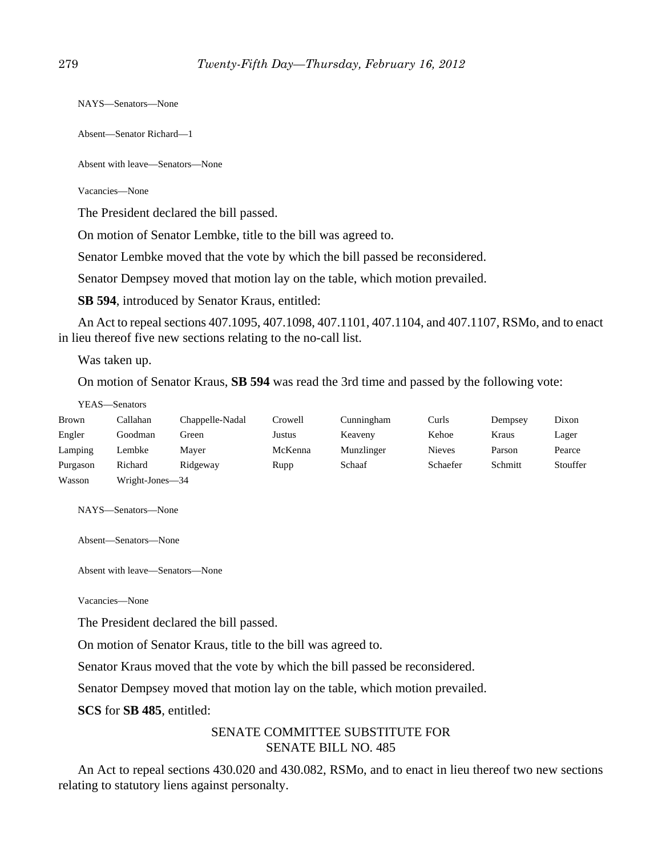NAYS—Senators—None

Absent—Senator Richard—1

Absent with leave—Senators—None

Vacancies—None

The President declared the bill passed.

On motion of Senator Lembke, title to the bill was agreed to.

Senator Lembke moved that the vote by which the bill passed be reconsidered.

Senator Dempsey moved that motion lay on the table, which motion prevailed.

**SB 594**, introduced by Senator Kraus, entitled:

An Act to repeal sections 407.1095, 407.1098, 407.1101, 407.1104, and 407.1107, RSMo, and to enact in lieu thereof five new sections relating to the no-call list.

Was taken up.

On motion of Senator Kraus, **SB 594** was read the 3rd time and passed by the following vote:

#### YEAS—Senators

| Brown    | Callahan        | Chappelle-Nadal | Crowell | Cunningham | Curls         | Dempsey | Dixon    |
|----------|-----------------|-----------------|---------|------------|---------------|---------|----------|
| Engler   | Goodman         | Green           | Justus  | Keaveny    | Kehoe         | Kraus   | Lager    |
| Lamping  | Lembke          | Mayer           | McKenna | Munzlinger | <b>Nieves</b> | Parson  | Pearce   |
| Purgason | Richard         | Ridgeway        | Rupp    | Schaaf     | Schaefer      | Schmitt | Stouffer |
| Wasson   | Wright-Jones-34 |                 |         |            |               |         |          |

NAYS—Senators—None

Absent—Senators—None

Absent with leave—Senators—None

Vacancies—None

The President declared the bill passed.

On motion of Senator Kraus, title to the bill was agreed to.

Senator Kraus moved that the vote by which the bill passed be reconsidered.

Senator Dempsey moved that motion lay on the table, which motion prevailed.

**SCS** for **SB 485**, entitled:

## SENATE COMMITTEE SUBSTITUTE FOR SENATE BILL NO. 485

An Act to repeal sections 430.020 and 430.082, RSMo, and to enact in lieu thereof two new sections relating to statutory liens against personalty.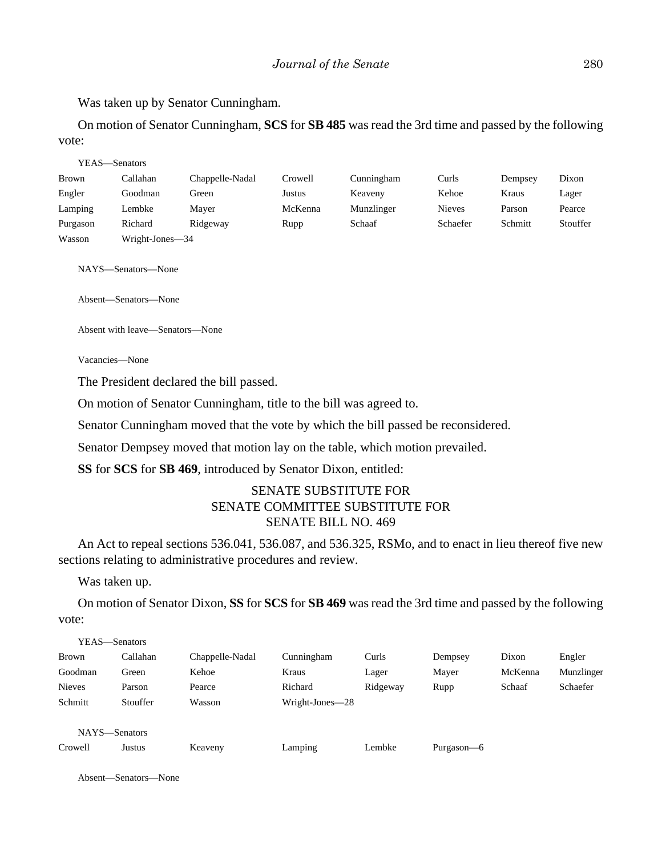Was taken up by Senator Cunningham.

On motion of Senator Cunningham, **SCS** for **SB 485** was read the 3rd time and passed by the following vote:

|          | YEAS—Senators   |                 |         |            |               |         |          |
|----------|-----------------|-----------------|---------|------------|---------------|---------|----------|
| Brown    | Callahan        | Chappelle-Nadal | Crowell | Cunningham | Curls         | Dempsey | Dixon    |
| Engler   | Goodman         | Green           | Justus  | Keaveny    | Kehoe         | Kraus   | Lager    |
| Lamping  | Lembke          | Maver           | McKenna | Munzlinger | <b>Nieves</b> | Parson  | Pearce   |
| Purgason | Richard         | Ridgeway        | Rupp    | Schaaf     | Schaefer      | Schmitt | Stouffer |
| Wasson   | Wright-Jones-34 |                 |         |            |               |         |          |

NAYS—Senators—None

Absent—Senators—None

Absent with leave—Senators—None

Vacancies—None

The President declared the bill passed.

On motion of Senator Cunningham, title to the bill was agreed to.

Senator Cunningham moved that the vote by which the bill passed be reconsidered.

Senator Dempsey moved that motion lay on the table, which motion prevailed.

**SS** for **SCS** for **SB 469**, introduced by Senator Dixon, entitled:

## SENATE SUBSTITUTE FOR SENATE COMMITTEE SUBSTITUTE FOR SENATE BILL NO. 469

An Act to repeal sections 536.041, 536.087, and 536.325, RSMo, and to enact in lieu thereof five new sections relating to administrative procedures and review.

Was taken up.

On motion of Senator Dixon, **SS** for **SCS** for **SB 469** was read the 3rd time and passed by the following vote:

| YEAS—Senators |          |                 |                 |          |            |         |            |
|---------------|----------|-----------------|-----------------|----------|------------|---------|------------|
| Brown         | Callahan | Chappelle-Nadal | Cunningham      | Curls    | Dempsey    | Dixon   | Engler     |
| Goodman       | Green    | Kehoe           | Kraus           | Lager    | Mayer      | McKenna | Munzlinger |
| <b>Nieves</b> | Parson   | Pearce          | Richard         | Ridgeway | Rupp       | Schaaf  | Schaefer   |
| Schmitt       | Stouffer | Wasson          | Wright-Jones-28 |          |            |         |            |
|               |          |                 |                 |          |            |         |            |
| NAYS-Senators |          |                 |                 |          |            |         |            |
| Crowell       | Justus   | Keaveny         | Lamping         | Lembke   | Purgason-6 |         |            |

Absent—Senators—None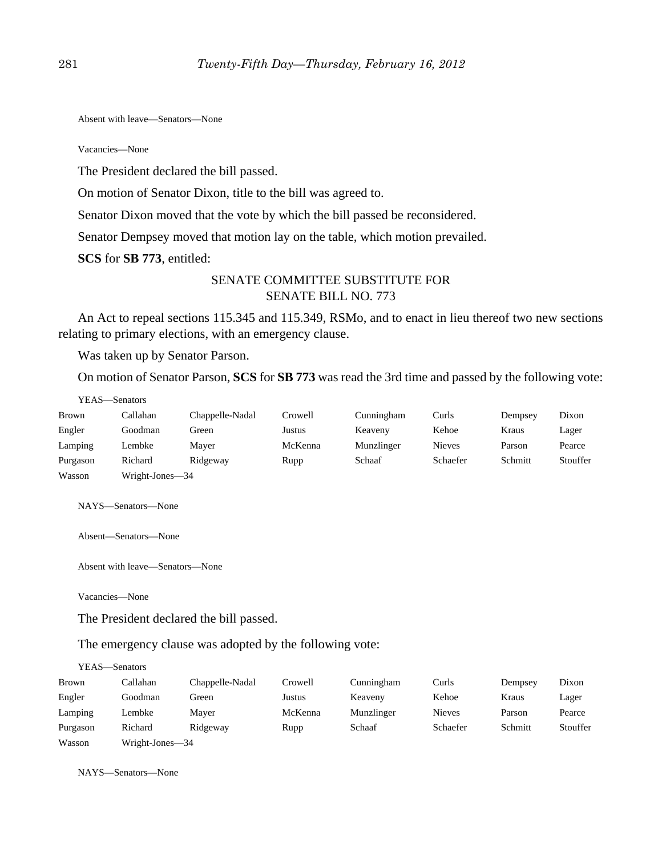Absent with leave—Senators—None

Vacancies—None

The President declared the bill passed.

On motion of Senator Dixon, title to the bill was agreed to.

Senator Dixon moved that the vote by which the bill passed be reconsidered.

Senator Dempsey moved that motion lay on the table, which motion prevailed.

**SCS** for **SB 773**, entitled:

## SENATE COMMITTEE SUBSTITUTE FOR SENATE BILL NO. 773

An Act to repeal sections 115.345 and 115.349, RSMo, and to enact in lieu thereof two new sections relating to primary elections, with an emergency clause.

Was taken up by Senator Parson.

On motion of Senator Parson, **SCS** for **SB 773** was read the 3rd time and passed by the following vote:

| YEAS—Senators |                 |                 |         |            |               |         |          |
|---------------|-----------------|-----------------|---------|------------|---------------|---------|----------|
| <b>Brown</b>  | Callahan        | Chappelle-Nadal | Crowell | Cunningham | Curls         | Dempsey | Dixon    |
| Engler        | Goodman         | Green           | Justus  | Keaveny    | Kehoe         | Kraus   | Lager    |
| Lamping       | Lembke          | Maver           | McKenna | Munzlinger | <b>Nieves</b> | Parson  | Pearce   |
| Purgason      | Richard         | Ridgeway        | Rupp    | Schaaf     | Schaefer      | Schmitt | Stouffer |
| Wasson        | Wright-Jones-34 |                 |         |            |               |         |          |

NAYS—Senators—None

Absent—Senators—None

Absent with leave—Senators—None

Vacancies—None

The President declared the bill passed.

The emergency clause was adopted by the following vote:

| YEAS—Senators |                 |                 |         |            |               |         |          |
|---------------|-----------------|-----------------|---------|------------|---------------|---------|----------|
| Brown         | Callahan        | Chappelle-Nadal | Crowell | Cunningham | Curls         | Dempsey | Dixon    |
| Engler        | Goodman         | Green           | Justus  | Keaveny    | Kehoe         | Kraus   | Lager    |
| Lamping       | Lembke          | Maver           | McKenna | Munzlinger | <b>Nieves</b> | Parson  | Pearce   |
| Purgason      | Richard         | Ridgeway        | Rupp    | Schaaf     | Schaefer      | Schmitt | Stouffer |
| Wasson        | Wright-Jones-34 |                 |         |            |               |         |          |

NAYS—Senators—None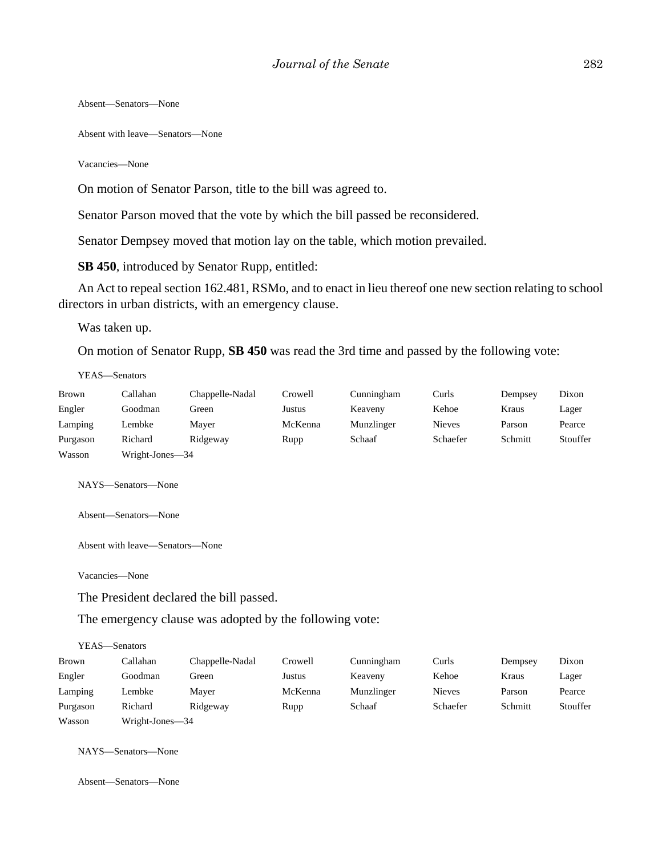Absent—Senators—None

Absent with leave—Senators—None

Vacancies—None

On motion of Senator Parson, title to the bill was agreed to.

Senator Parson moved that the vote by which the bill passed be reconsidered.

Senator Dempsey moved that motion lay on the table, which motion prevailed.

**SB 450**, introduced by Senator Rupp, entitled:

An Act to repeal section 162.481, RSMo, and to enact in lieu thereof one new section relating to school directors in urban districts, with an emergency clause.

Was taken up.

On motion of Senator Rupp, **SB 450** was read the 3rd time and passed by the following vote:

YEAS—Senators

| Brown    | Callahan        | Chappelle-Nadal | Crowell | Cunningham | Curls         | Dempsey | Dixon    |
|----------|-----------------|-----------------|---------|------------|---------------|---------|----------|
| Engler   | Goodman         | Green           | Justus  | Keaveny    | Kehoe         | Kraus   | Lager    |
| Lamping  | Lembke          | Mayer           | McKenna | Munzlinger | <b>Nieves</b> | Parson  | Pearce   |
| Purgason | Richard         | Ridgeway        | Rupp    | Schaaf     | Schaefer      | Schmitt | Stouffer |
| Wasson   | Wright-Jones—34 |                 |         |            |               |         |          |

NAYS—Senators—None

Absent—Senators—None

Absent with leave—Senators—None

Vacancies—None

The President declared the bill passed.

The emergency clause was adopted by the following vote:

YEAS—Senators

| Brown    | Callahan        | Chappelle-Nadal | Crowell | Cunningham | Curls         | Dempsey | Dixon    |
|----------|-----------------|-----------------|---------|------------|---------------|---------|----------|
| Engler   | Goodman         | Green           | Justus  | Keaveny    | Kehoe         | Kraus   | Lager    |
| Lamping  | Lembke          | Maver           | McKenna | Munzlinger | <b>Nieves</b> | Parson  | Pearce   |
| Purgason | Richard         | Ridgeway        | Rupp    | Schaaf     | Schaefer      | Schmitt | Stouffer |
| Wasson   | Wright-Jones-34 |                 |         |            |               |         |          |

NAYS—Senators—None

Absent—Senators—None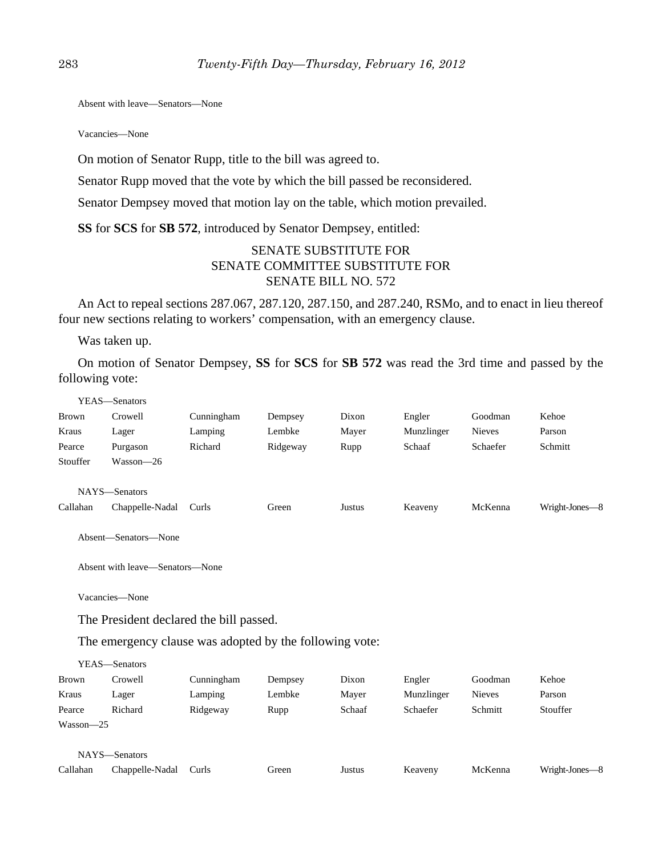Absent with leave—Senators—None

Vacancies—None

On motion of Senator Rupp, title to the bill was agreed to.

Senator Rupp moved that the vote by which the bill passed be reconsidered.

Senator Dempsey moved that motion lay on the table, which motion prevailed.

**SS** for **SCS** for **SB 572**, introduced by Senator Dempsey, entitled:

# SENATE SUBSTITUTE FOR SENATE COMMITTEE SUBSTITUTE FOR SENATE BILL NO. 572

An Act to repeal sections 287.067, 287.120, 287.150, and 287.240, RSMo, and to enact in lieu thereof four new sections relating to workers' compensation, with an emergency clause.

Was taken up.

On motion of Senator Dempsey, **SS** for **SCS** for **SB 572** was read the 3rd time and passed by the following vote:

|              | YEAS-Senators                                           |            |          |        |            |               |                |
|--------------|---------------------------------------------------------|------------|----------|--------|------------|---------------|----------------|
| <b>Brown</b> | Crowell                                                 | Cunningham | Dempsey  | Dixon  | Engler     | Goodman       | Kehoe          |
| Kraus        | Lager                                                   | Lamping    | Lembke   | Mayer  | Munzlinger | <b>Nieves</b> | Parson         |
| Pearce       | Purgason                                                | Richard    | Ridgeway | Rupp   | Schaaf     | Schaefer      | Schmitt        |
| Stouffer     | Wasson-26                                               |            |          |        |            |               |                |
|              | NAYS-Senators                                           |            |          |        |            |               |                |
| Callahan     | Chappelle-Nadal                                         | Curls      | Green    | Justus | Keaveny    | McKenna       | Wright-Jones-8 |
|              | Absent-Senators-None                                    |            |          |        |            |               |                |
|              | Absent with leave—Senators—None                         |            |          |        |            |               |                |
|              | Vacancies-None                                          |            |          |        |            |               |                |
|              | The President declared the bill passed.                 |            |          |        |            |               |                |
|              | The emergency clause was adopted by the following vote: |            |          |        |            |               |                |
|              | YEAS-Senators                                           |            |          |        |            |               |                |
| <b>Brown</b> | Crowell                                                 | Cunningham | Dempsey  | Dixon  | Engler     | Goodman       | Kehoe          |
| Kraus        | Lager                                                   | Lamping    | Lembke   | Mayer  | Munzlinger | <b>Nieves</b> | Parson         |
| Pearce       | Richard                                                 | Ridgeway   | Rupp     | Schaaf | Schaefer   | Schmitt       | Stouffer       |
| Wasson-25    |                                                         |            |          |        |            |               |                |
|              | NAYS-Senators                                           |            |          |        |            |               |                |
| Callahan     | Chappelle-Nadal                                         | Curls      | Green    | Justus | Keaveny    | McKenna       | Wright-Jones-8 |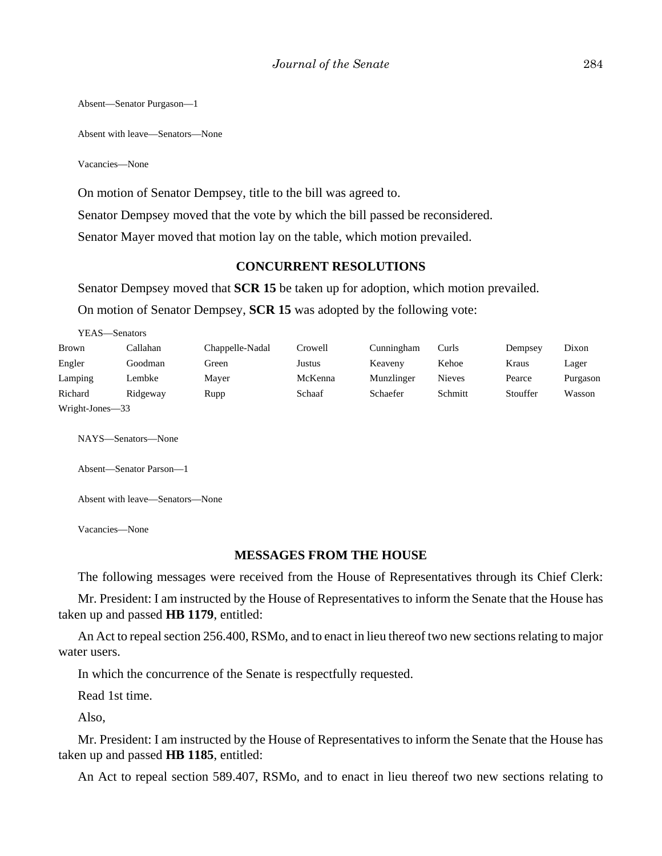Absent—Senator Purgason—1

Absent with leave—Senators—None

Vacancies—None

On motion of Senator Dempsey, title to the bill was agreed to.

Senator Dempsey moved that the vote by which the bill passed be reconsidered.

Senator Mayer moved that motion lay on the table, which motion prevailed.

#### **CONCURRENT RESOLUTIONS**

Senator Dempsey moved that **SCR 15** be taken up for adoption, which motion prevailed. On motion of Senator Dempsey, **SCR 15** was adopted by the following vote:

| YEAS—Senators   |          |                 |         |            |         |          |          |
|-----------------|----------|-----------------|---------|------------|---------|----------|----------|
| <b>Brown</b>    | Callahan | Chappelle-Nadal | Crowell | Cunningham | Curls   | Dempsey  | Dixon    |
| Engler          | Goodman  | Green           | Justus  | Keaveny    | Kehoe   | Kraus    | Lager    |
| Lamping         | Lembke   | Maver           | McKenna | Munzlinger | Nieves  | Pearce   | Purgason |
| Richard         | Ridgeway | Rupp            | Schaaf  | Schaefer   | Schmitt | Stouffer | Wasson   |
| Wright-Jones-33 |          |                 |         |            |         |          |          |

NAYS—Senators—None

Absent—Senator Parson—1

Absent with leave—Senators—None

Vacancies—None

#### **MESSAGES FROM THE HOUSE**

The following messages were received from the House of Representatives through its Chief Clerk:

Mr. President: I am instructed by the House of Representatives to inform the Senate that the House has taken up and passed **HB 1179**, entitled:

An Act to repeal section 256.400, RSMo, and to enact in lieu thereof two new sections relating to major water users.

In which the concurrence of the Senate is respectfully requested.

Read 1st time.

Also,

Mr. President: I am instructed by the House of Representatives to inform the Senate that the House has taken up and passed **HB 1185**, entitled:

An Act to repeal section 589.407, RSMo, and to enact in lieu thereof two new sections relating to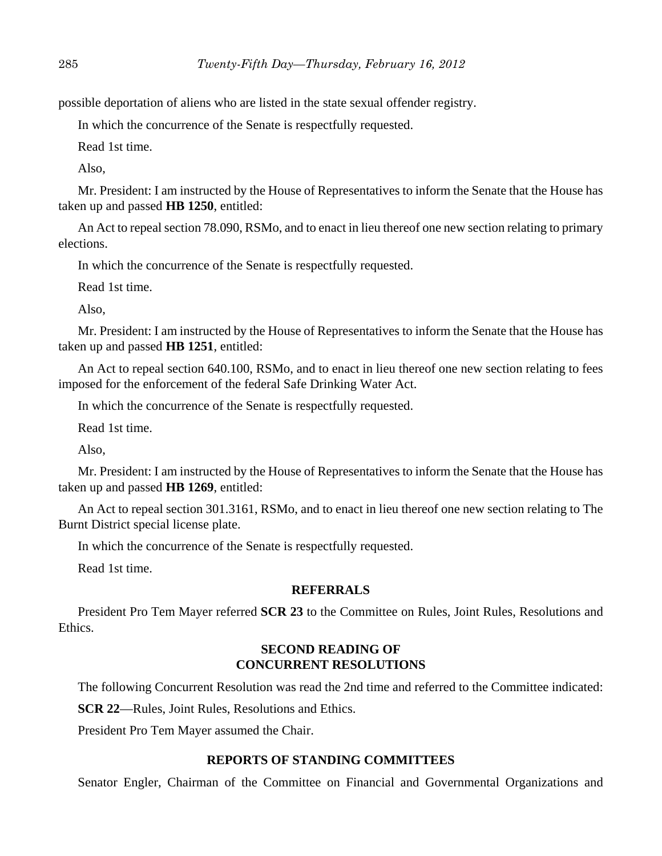possible deportation of aliens who are listed in the state sexual offender registry.

In which the concurrence of the Senate is respectfully requested.

Read 1st time.

Also,

Mr. President: I am instructed by the House of Representatives to inform the Senate that the House has taken up and passed **HB 1250**, entitled:

An Act to repeal section 78.090, RSMo, and to enact in lieu thereof one new section relating to primary elections.

In which the concurrence of the Senate is respectfully requested.

Read 1st time.

Also,

Mr. President: I am instructed by the House of Representatives to inform the Senate that the House has taken up and passed **HB 1251**, entitled:

An Act to repeal section 640.100, RSMo, and to enact in lieu thereof one new section relating to fees imposed for the enforcement of the federal Safe Drinking Water Act.

In which the concurrence of the Senate is respectfully requested.

Read 1st time.

Also,

Mr. President: I am instructed by the House of Representatives to inform the Senate that the House has taken up and passed **HB 1269**, entitled:

An Act to repeal section 301.3161, RSMo, and to enact in lieu thereof one new section relating to The Burnt District special license plate.

In which the concurrence of the Senate is respectfully requested.

Read 1st time.

## **REFERRALS**

President Pro Tem Mayer referred **SCR 23** to the Committee on Rules, Joint Rules, Resolutions and Ethics.

## **SECOND READING OF CONCURRENT RESOLUTIONS**

The following Concurrent Resolution was read the 2nd time and referred to the Committee indicated:

**SCR 22**—Rules, Joint Rules, Resolutions and Ethics.

President Pro Tem Mayer assumed the Chair.

#### **REPORTS OF STANDING COMMITTEES**

Senator Engler, Chairman of the Committee on Financial and Governmental Organizations and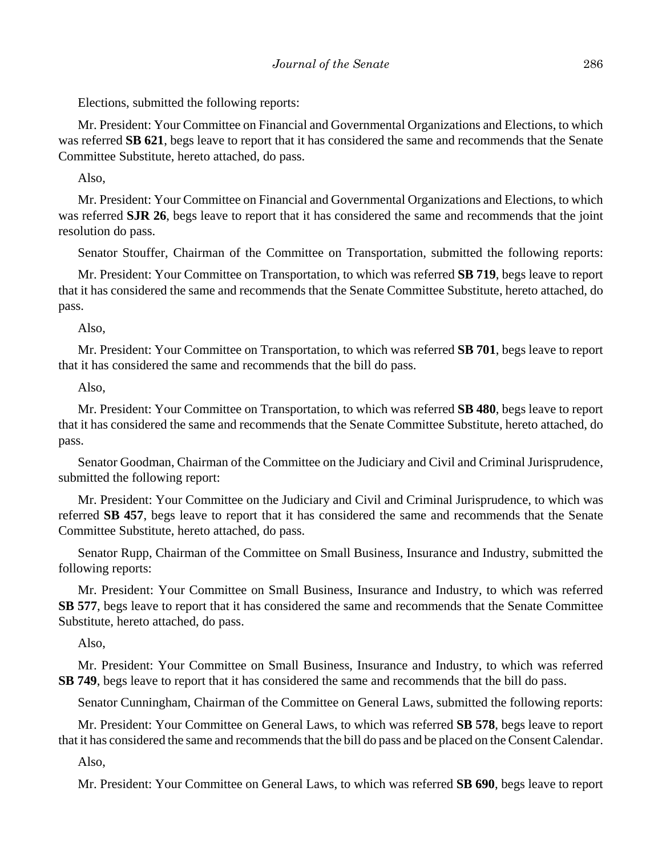Elections, submitted the following reports:

Mr. President: Your Committee on Financial and Governmental Organizations and Elections, to which was referred **SB 621**, begs leave to report that it has considered the same and recommends that the Senate Committee Substitute, hereto attached, do pass.

Also,

Mr. President: Your Committee on Financial and Governmental Organizations and Elections, to which was referred **SJR 26**, begs leave to report that it has considered the same and recommends that the joint resolution do pass.

Senator Stouffer, Chairman of the Committee on Transportation, submitted the following reports:

Mr. President: Your Committee on Transportation, to which was referred **SB 719**, begs leave to report that it has considered the same and recommends that the Senate Committee Substitute, hereto attached, do pass.

Also,

Mr. President: Your Committee on Transportation, to which was referred **SB 701**, begs leave to report that it has considered the same and recommends that the bill do pass.

Also,

Mr. President: Your Committee on Transportation, to which was referred **SB 480**, begs leave to report that it has considered the same and recommends that the Senate Committee Substitute, hereto attached, do pass.

Senator Goodman, Chairman of the Committee on the Judiciary and Civil and Criminal Jurisprudence, submitted the following report:

Mr. President: Your Committee on the Judiciary and Civil and Criminal Jurisprudence, to which was referred **SB 457**, begs leave to report that it has considered the same and recommends that the Senate Committee Substitute, hereto attached, do pass.

Senator Rupp, Chairman of the Committee on Small Business, Insurance and Industry, submitted the following reports:

Mr. President: Your Committee on Small Business, Insurance and Industry, to which was referred **SB 577**, begs leave to report that it has considered the same and recommends that the Senate Committee Substitute, hereto attached, do pass.

Also,

Mr. President: Your Committee on Small Business, Insurance and Industry, to which was referred **SB 749**, begs leave to report that it has considered the same and recommends that the bill do pass.

Senator Cunningham, Chairman of the Committee on General Laws, submitted the following reports:

Mr. President: Your Committee on General Laws, to which was referred **SB 578**, begs leave to report that it has considered the same and recommends that the bill do pass and be placed on the Consent Calendar.

Also,

Mr. President: Your Committee on General Laws, to which was referred **SB 690**, begs leave to report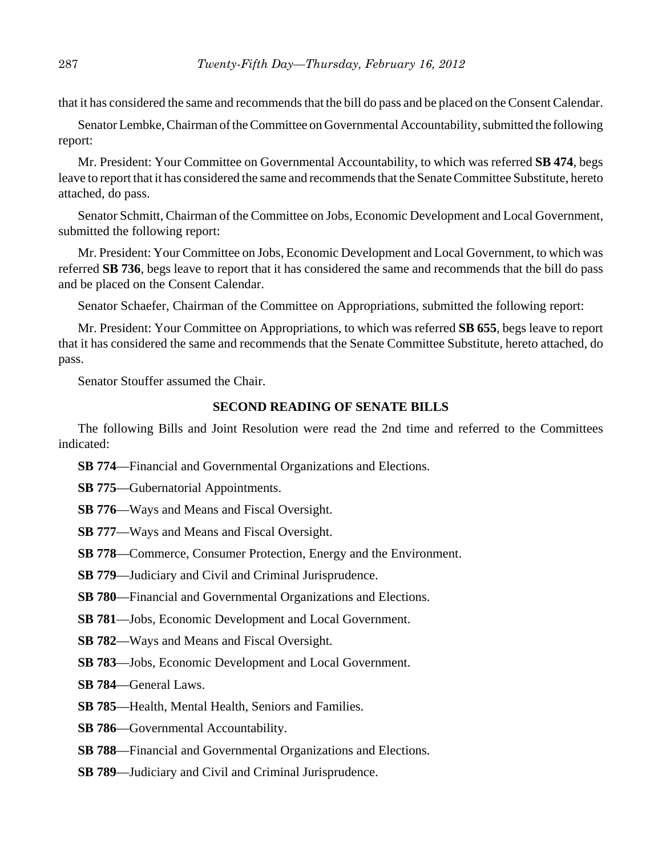that it has considered the same and recommends that the bill do pass and be placed on the Consent Calendar.

Senator Lembke, Chairman of the Committee on Governmental Accountability, submitted the following report:

Mr. President: Your Committee on Governmental Accountability, to which was referred **SB 474**, begs leave to report that it has considered the same and recommends that the Senate Committee Substitute, hereto attached, do pass.

Senator Schmitt, Chairman of the Committee on Jobs, Economic Development and Local Government, submitted the following report:

Mr. President: Your Committee on Jobs, Economic Development and Local Government, to which was referred **SB 736**, begs leave to report that it has considered the same and recommends that the bill do pass and be placed on the Consent Calendar.

Senator Schaefer, Chairman of the Committee on Appropriations, submitted the following report:

Mr. President: Your Committee on Appropriations, to which was referred **SB 655**, begs leave to report that it has considered the same and recommends that the Senate Committee Substitute, hereto attached, do pass.

Senator Stouffer assumed the Chair.

## **SECOND READING OF SENATE BILLS**

The following Bills and Joint Resolution were read the 2nd time and referred to the Committees indicated:

- **SB 774**—Financial and Governmental Organizations and Elections.
- **SB 775**—Gubernatorial Appointments.
- **SB 776**—Ways and Means and Fiscal Oversight.
- **SB 777**—Ways and Means and Fiscal Oversight.
- **SB 778**—Commerce, Consumer Protection, Energy and the Environment.
- **SB 779**—Judiciary and Civil and Criminal Jurisprudence.
- **SB 780**—Financial and Governmental Organizations and Elections.
- **SB 781**—Jobs, Economic Development and Local Government.
- **SB 782**—Ways and Means and Fiscal Oversight.
- **SB 783**—Jobs, Economic Development and Local Government.
- **SB 784**—General Laws.
- **SB 785**—Health, Mental Health, Seniors and Families.
- **SB 786**—Governmental Accountability.
- **SB 788**—Financial and Governmental Organizations and Elections.
- **SB 789**—Judiciary and Civil and Criminal Jurisprudence.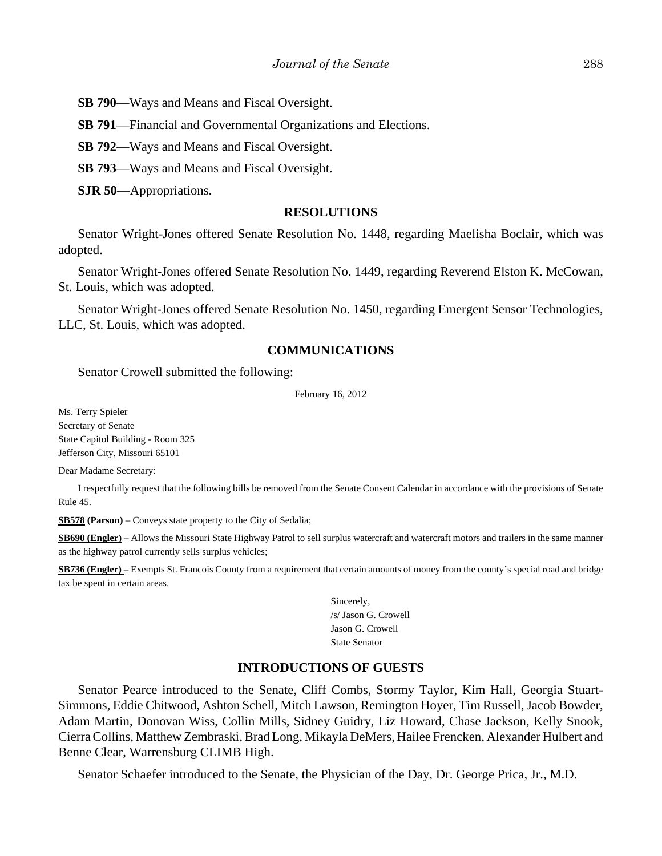**SB 790**—Ways and Means and Fiscal Oversight.

**SB 791**—Financial and Governmental Organizations and Elections.

**SB 792**—Ways and Means and Fiscal Oversight.

**SB 793**—Ways and Means and Fiscal Oversight.

**SJR 50**—Appropriations.

#### **RESOLUTIONS**

Senator Wright-Jones offered Senate Resolution No. 1448, regarding Maelisha Boclair, which was adopted.

Senator Wright-Jones offered Senate Resolution No. 1449, regarding Reverend Elston K. McCowan, St. Louis, which was adopted.

Senator Wright-Jones offered Senate Resolution No. 1450, regarding Emergent Sensor Technologies, LLC, St. Louis, which was adopted.

#### **COMMUNICATIONS**

Senator Crowell submitted the following:

February 16, 2012

Ms. Terry Spieler Secretary of Senate State Capitol Building - Room 325 Jefferson City, Missouri 65101

Dear Madame Secretary:

I respectfully request that the following bills be removed from the Senate Consent Calendar in accordance with the provisions of Senate Rule 45.

**SB578 (Parson)** – Conveys state property to the City of Sedalia;

**SB690 (Engler)** – Allows the Missouri State Highway Patrol to sell surplus watercraft and watercraft motors and trailers in the same manner as the highway patrol currently sells surplus vehicles;

**SB736 (Engler)** – Exempts St. Francois County from a requirement that certain amounts of money from the county's special road and bridge tax be spent in certain areas.

> Sincerely, /s/ Jason G. Crowell Jason G. Crowell State Senator

## **INTRODUCTIONS OF GUESTS**

Senator Pearce introduced to the Senate, Cliff Combs, Stormy Taylor, Kim Hall, Georgia Stuart-Simmons, Eddie Chitwood, Ashton Schell, Mitch Lawson, Remington Hoyer, Tim Russell, Jacob Bowder, Adam Martin, Donovan Wiss, Collin Mills, Sidney Guidry, Liz Howard, Chase Jackson, Kelly Snook, Cierra Collins, Matthew Zembraski, Brad Long, Mikayla DeMers, Hailee Frencken, Alexander Hulbert and Benne Clear, Warrensburg CLIMB High.

Senator Schaefer introduced to the Senate, the Physician of the Day, Dr. George Prica, Jr., M.D.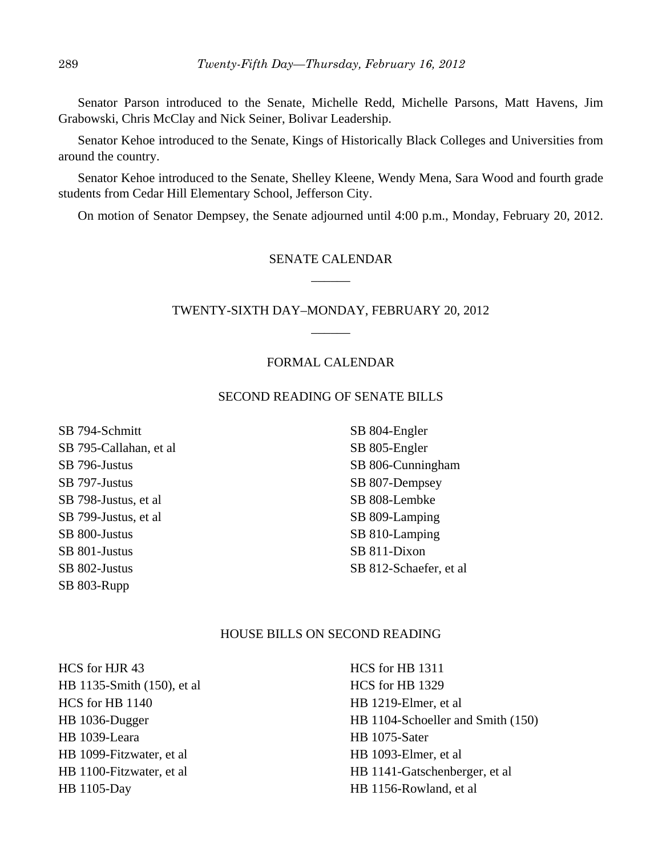Senator Parson introduced to the Senate, Michelle Redd, Michelle Parsons, Matt Havens, Jim Grabowski, Chris McClay and Nick Seiner, Bolivar Leadership.

Senator Kehoe introduced to the Senate, Kings of Historically Black Colleges and Universities from around the country.

Senator Kehoe introduced to the Senate, Shelley Kleene, Wendy Mena, Sara Wood and fourth grade students from Cedar Hill Elementary School, Jefferson City.

On motion of Senator Dempsey, the Senate adjourned until 4:00 p.m., Monday, February 20, 2012.

## SENATE CALENDAR \_\_\_\_\_\_

## TWENTY-SIXTH DAY–MONDAY, FEBRUARY 20, 2012  $\overline{\phantom{a}}$

#### FORMAL CALENDAR

#### SECOND READING OF SENATE BILLS

SB 794-Schmitt SB 795-Callahan, et al SB 796-Justus SB 797-Justus SB 798-Justus, et al SB 799-Justus, et al SB 800-Justus SB 801-Justus SB 802-Justus SB 803-Rupp

SB 804-Engler SB 805-Engler SB 806-Cunningham SB 807-Dempsey SB 808-Lembke SB 809-Lamping SB 810-Lamping SB 811-Dixon SB 812-Schaefer, et al

#### HOUSE BILLS ON SECOND READING

HCS for HJR 43 HB 1135-Smith (150), et al HCS for HB 1140 HB 1036-Dugger HB 1039-Leara HB 1099-Fitzwater, et al HB 1100-Fitzwater, et al HB 1105-Day

HCS for HB 1311 HCS for HB 1329 HB 1219-Elmer, et al HB 1104-Schoeller and Smith (150) HB 1075-Sater HB 1093-Elmer, et al HB 1141-Gatschenberger, et al HB 1156-Rowland, et al